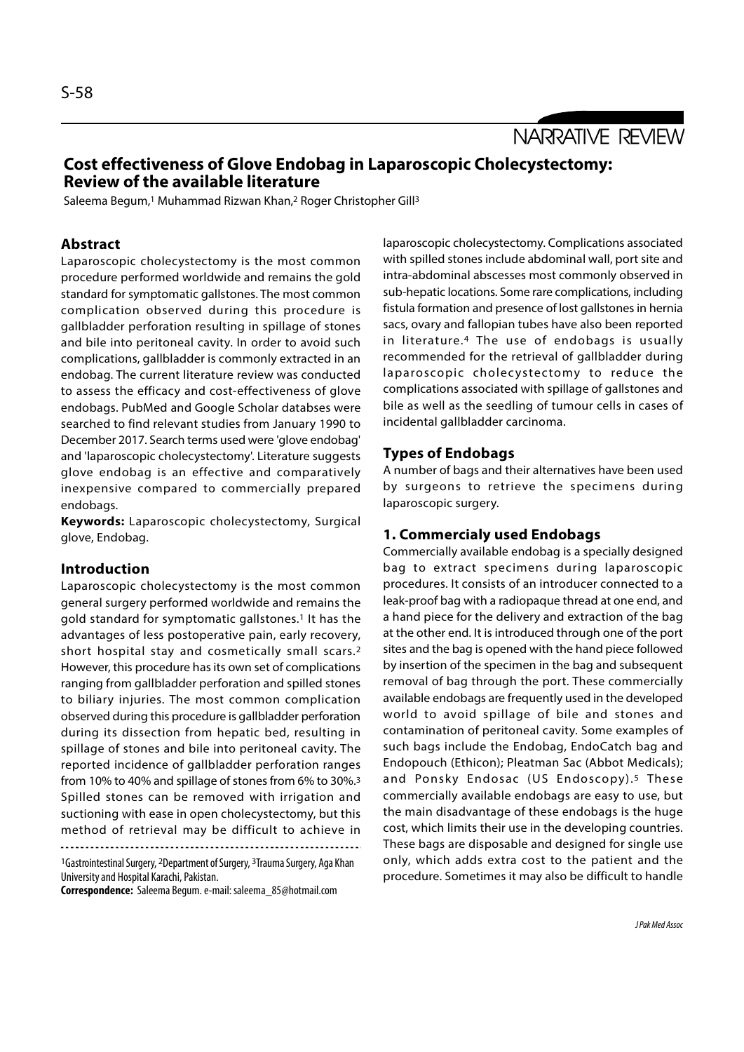NARRATIVE REVIEW

# Cost effectiveness of Glove Endobag in Laparoscopic Cholecystectomy: Review of the available literature

Saleema Begum,1 Muhammad Rizwan Khan,2 Roger Christopher Gill<sup>3</sup>

## Abstract

Laparoscopic cholecystectomy is the most common procedure performed worldwide and remains the gold standard for symptomatic gallstones. The most common complication observed during this procedure is gallbladder perforation resulting in spillage of stones and bile into peritoneal cavity. In order to avoid such complications, gallbladder is commonly extracted in an endobag. The current literature review was conducted laparoscopic cholecystectomy to reduce the to assess the efficacy and cost-effectiveness of glove endobags. PubMed and Google Scholar databses were searched to find relevant studies from January 1990 to December 2017. Search terms used were 'glove endobag' and 'laparoscopic cholecystectomy'. Literature suggests glove endobag is an effective and comparatively inexpensive compared to commercially prepared endobags.

Keywords: Laparoscopic cholecystectomy, Surgical glove, Endobag.

### Introduction

Laparoscopic cholecystectomy is the most common general surgery performed worldwide and remains the gold standard for symptomatic gallstones.1 It has the advantages of less postoperative pain, early recovery, short hospital stay and cosmetically small scars.2 However, this procedure has its own set of complications ranging from gallbladder perforation and spilled stones to biliary injuries. The most common complication observed during this procedure is gallbladder perforation during its dissection from hepatic bed, resulting in spillage of stones and bile into peritoneal cavity. The reported incidence of gallbladder perforation ranges from 10% to 40% and spillage of stones from 6% to 30%.3 Spilled stones can be removed with irrigation and suctioning with ease in open cholecystectomy, but this method of retrieval may be difficult to achieve in

<sup>1</sup>Gastrointestinal Surgery, 2Department of Surgery, 3Trauma Surgery, Aga Khan University and Hospital Karachi, Pakistan.

Correspondence: Saleema Begum. e-mail: saleema\_85@hotmail.com

laparoscopic cholecystectomy. Complications associated with spilled stones include abdominal wall, port site and intra-abdominal abscesses most commonly observed in sub-hepatic locations. Some rare complications, including fistula formation and presence of lost gallstones in hernia sacs, ovary and fallopian tubes have also been reported in literature.4 The use of endobags is usually recommended for the retrieval of gallbladder during laparoscopic cholecystectomy. Complications associated<br>with spilled stones include abdominal wall, port site and<br>intra-abdominal abscesses most commonly observed in<br>sub-hepatic locations. Some rare complications, including complications associated with spillage of gallstones and bile as well as the seedling of tumour cells in cases of incidental gallbladder carcinoma.

## Types of Endobags

A number of bags and their alternatives have been used by surgeons to retrieve the specimens during laparoscopic surgery.

## 1. Commercialy used Endobags

Commercially available endobag is a specially designed bag to extract specimens during laparoscopic procedures. It consists of an introducer connected to a leak-proof bag with a radiopaque thread at one end, and a hand piece for the delivery and extraction of the bag at the other end. It is introduced through one of the port sites and the bag is opened with the hand piece followed by insertion of the specimen in the bag and subsequent removal of bag through the port. These commercially available endobags are frequently used in the developed world to avoid spillage of bile and stones and contamination of peritoneal cavity. Some examples of such bags include the Endobag, EndoCatch bag and Endopouch (Ethicon); Pleatman Sac (Abbot Medicals); and Ponsky Endosac (US Endoscopy).5 These commercially available endobags are easy to use, but the main disadvantage of these endobags is the huge cost, which limits their use in the developing countries. These bags are disposable and designed for single use only, which adds extra cost to the patient and the procedure. Sometimes it may also be difficult to handle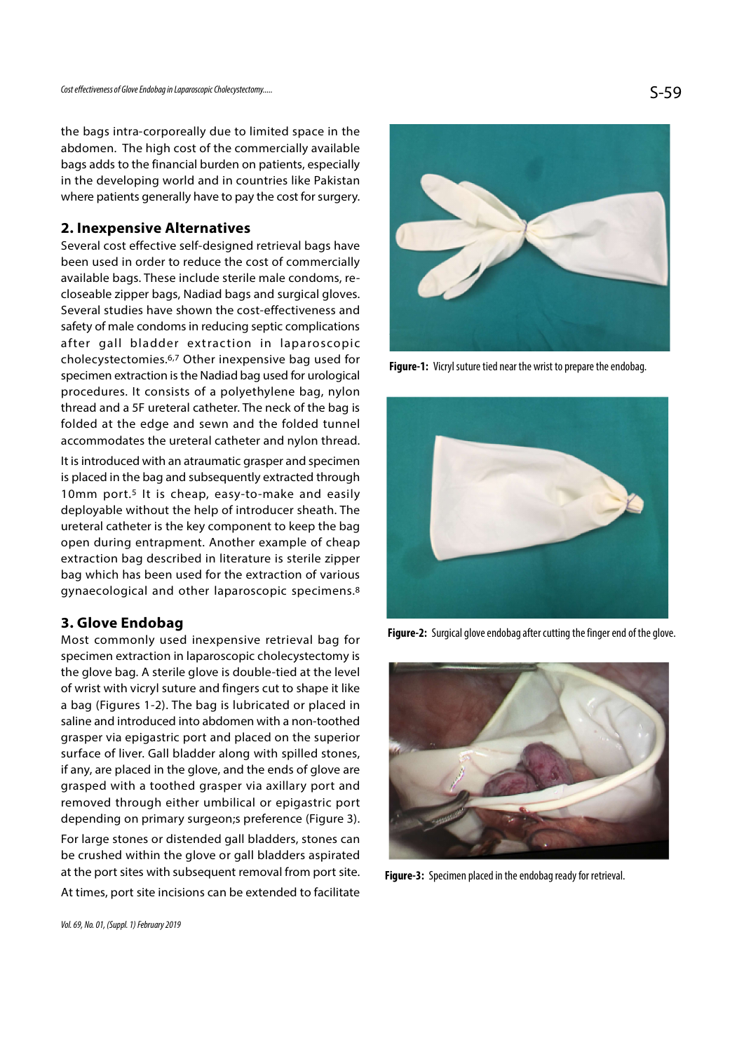the bags intra-corporeally due to limited space in the abdomen. The high cost of the commercially available bags adds to the financial burden on patients, especially in the developing world and in countries like Pakistan where patients generally have to pay the cost for surgery.

## 2. Inexpensive Alternatives

Several cost effective self-designed retrieval bags have been used in order to reduce the cost of commercially available bags. These include sterile male condoms, recloseable zipper bags, Nadiad bags and surgical gloves. Several studies have shown the cost-effectiveness and safety of male condoms in reducing septic complications after gall bladder extraction in laparoscopic cholecystectomies.6,7 Other inexpensive bag used for specimen extraction is the Nadiad bag used for urological procedures. It consists of a polyethylene bag, nylon thread and a 5F ureteral catheter. The neck of the bag is folded at the edge and sewn and the folded tunnel accommodates the ureteral catheter and nylon thread.

It is introduced with an atraumatic grasper and specimen is placed in the bag and subsequently extracted through 10mm port.<sup>5</sup> It is cheap, easy-to-make and easily deployable without the help of introducer sheath. The ureteral catheter is the key component to keep the bag open during entrapment. Another example of cheap extraction bag described in literature is sterile zipper bag which has been used for the extraction of various gynaecological and other laparoscopic specimens.8

## 3. Glove Endobag

Most commonly used inexpensive retrieval bag for specimen extraction in laparoscopic cholecystectomy is the glove bag. A sterile glove is double-tied at the level of wrist with vicryl suture and fingers cut to shape it like a bag (Figures 1-2). The bag is lubricated or placed in saline and introduced into abdomen with a non-toothed grasper via epigastric port and placed on the superior surface of liver. Gall bladder along with spilled stones, if any, are placed in the glove, and the ends of glove are grasped with a toothed grasper via axillary port and removed through either umbilical or epigastric port depending on primary surgeon;s preference (Figure 3).

For large stones or distended gall bladders, stones can be crushed within the glove or gall bladders aspirated at the port sites with subsequent removal from port site. At times, port site incisions can be extended to facilitate



Figure-1: Vicryl suture tied near the wrist to prepare the endobag.



Figure-2: Surgical glove endobag after cutting the finger end of the glove.



Figure-3: Specimen placed in the endobag ready for retrieval.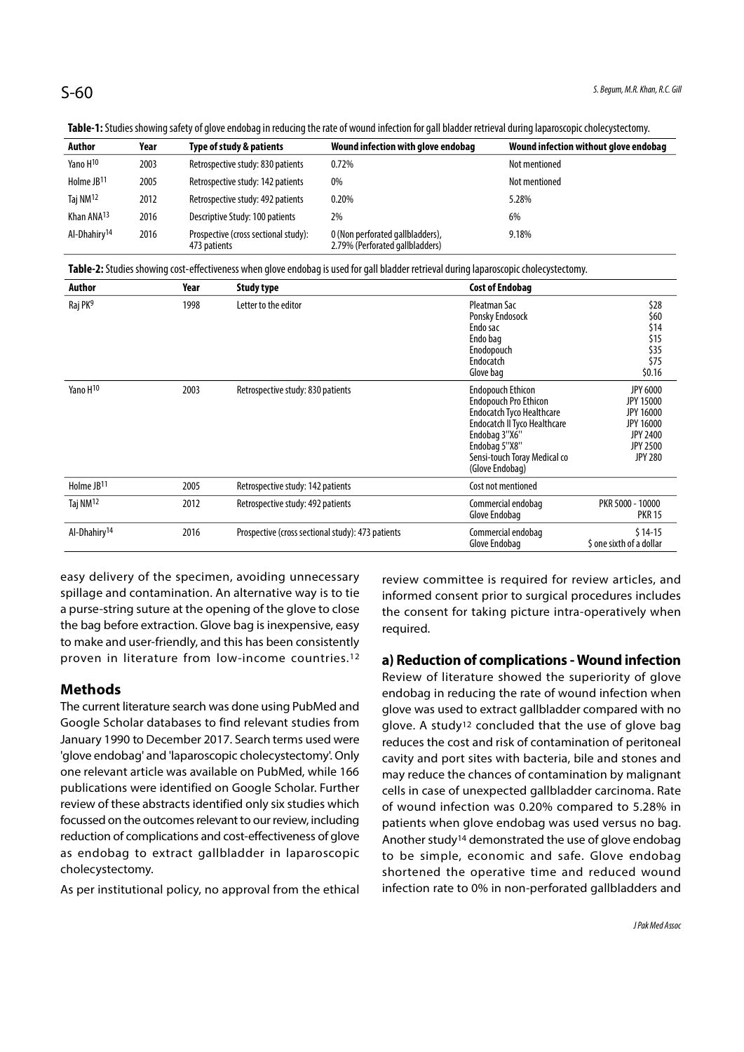| <b>Table 1:</b> Judits Jilowing Jacty of Glove Chuobag in Icuacing the face of wound infection for gail biauder retrieval udring laparoJepic Choice)Jectioniy, |      |                                                      |                                                                     |                                       |  |  |  |  |
|----------------------------------------------------------------------------------------------------------------------------------------------------------------|------|------------------------------------------------------|---------------------------------------------------------------------|---------------------------------------|--|--|--|--|
| Author                                                                                                                                                         | Year | Type of study & patients                             | Wound infection with glove endobag                                  | Wound infection without glove endobag |  |  |  |  |
| Yano H <sup>10</sup>                                                                                                                                           | 2003 | Retrospective study: 830 patients                    | 0.72%                                                               | Not mentioned                         |  |  |  |  |
| Holme JB <sup>11</sup>                                                                                                                                         | 2005 | Retrospective study: 142 patients                    | 0%                                                                  | Not mentioned                         |  |  |  |  |
| Taj NM <sup>12</sup>                                                                                                                                           | 2012 | Retrospective study: 492 patients                    | 0.20%                                                               | 5.28%                                 |  |  |  |  |
| Khan ANA <sup>13</sup>                                                                                                                                         | 2016 | Descriptive Study: 100 patients                      | 2%                                                                  | 6%                                    |  |  |  |  |
| Al-Dhahirv <sup>14</sup>                                                                                                                                       | 2016 | Prospective (cross sectional study):<br>473 patients | 0 (Non perforated gallbladders),<br>2.79% (Perforated gallbladders) | 9.18%                                 |  |  |  |  |

Table-1: Studies showing safety of glove endobag in reducing the rate of wound infection for gall bladder retrieval during laparoscopic cholecystectomy.

Table-2: Studies showing cost-effectiveness when glove endobag is used for gall bladder retrieval during laparoscopic cholecystectomy.

| Author                   | Year | <b>Study type</b>                                 | <b>Cost of Endobag</b>                                                                                                                                                                                            |                                                                                                                                     |
|--------------------------|------|---------------------------------------------------|-------------------------------------------------------------------------------------------------------------------------------------------------------------------------------------------------------------------|-------------------------------------------------------------------------------------------------------------------------------------|
| Raj PK <sup>9</sup>      | 1998 | Letter to the editor                              | Pleatman Sac<br>Ponsky Endosock<br>Endo sac<br>Endo bag<br>Enodopouch<br>Endocatch<br>Glove bag                                                                                                                   | \$28<br>\$60<br>\$14<br>\$15<br>\$35<br>\$75<br>\$0.16                                                                              |
| Yano H <sub>10</sub>     | 2003 | Retrospective study: 830 patients                 | <b>Endopouch Ethicon</b><br><b>Endopouch Pro Ethicon</b><br><b>Endocatch Tyco Healthcare</b><br>Endocatch II Tyco Healthcare<br>Endobag 3"X6"<br>Endobag 5"X8"<br>Sensi-touch Toray Medical co<br>(Glove Endobag) | <b>JPY 6000</b><br><b>JPY 15000</b><br><b>JPY 16000</b><br><b>JPY 16000</b><br><b>JPY 2400</b><br><b>JPY 2500</b><br><b>JPY 280</b> |
| Holme JB11               | 2005 | Retrospective study: 142 patients                 | Cost not mentioned                                                                                                                                                                                                |                                                                                                                                     |
| Taj NM <sup>12</sup>     | 2012 | Retrospective study: 492 patients                 | Commercial endobag<br>Glove Endobag                                                                                                                                                                               | PKR 5000 - 10000<br><b>PKR 15</b>                                                                                                   |
| Al-Dhahiry <sup>14</sup> | 2016 | Prospective (cross sectional study): 473 patients | Commercial endobag<br>Glove Endobag                                                                                                                                                                               | $$14-15$<br>\$ one sixth of a dollar                                                                                                |

easy delivery of the specimen, avoiding unnecessary spillage and contamination. An alternative way is to tie a purse-string suture at the opening of the glove to close the bag before extraction. Glove bag is inexpensive, easy to make and user-friendly, and this has been consistently proven in literature from low-income countries.12

## Methods

The current literature search was done using PubMed and Google Scholar databases to find relevant studies from January 1990 to December 2017. Search terms used were 'glove endobag' and 'laparoscopic cholecystectomy'. Only one relevant article was available on PubMed, while 166 publications were identified on Google Scholar. Further review of these abstracts identified only six studies which focussed on the outcomes relevant to our review, including reduction of complications and cost-effectiveness of glove as endobag to extract gallbladder in laparoscopic cholecystectomy.

As per institutional policy, no approval from the ethical

review committee is required for review articles, and informed consent prior to surgical procedures includes the consent for taking picture intra-operatively when required.

## a) Reduction of complications - Wound infection

Review of literature showed the superiority of glove endobag in reducing the rate of wound infection when glove was used to extract gallbladder compared with no glove. A study12 concluded that the use of glove bag reduces the cost and risk of contamination of peritoneal cavity and port sites with bacteria, bile and stones and may reduce the chances of contamination by malignant cells in case of unexpected gallbladder carcinoma. Rate of wound infection was 0.20% compared to 5.28% in patients when glove endobag was used versus no bag. Another study14 demonstrated the use of glove endobag to be simple, economic and safe. Glove endobag shortened the operative time and reduced wound infection rate to 0% in non-perforated gallbladders and